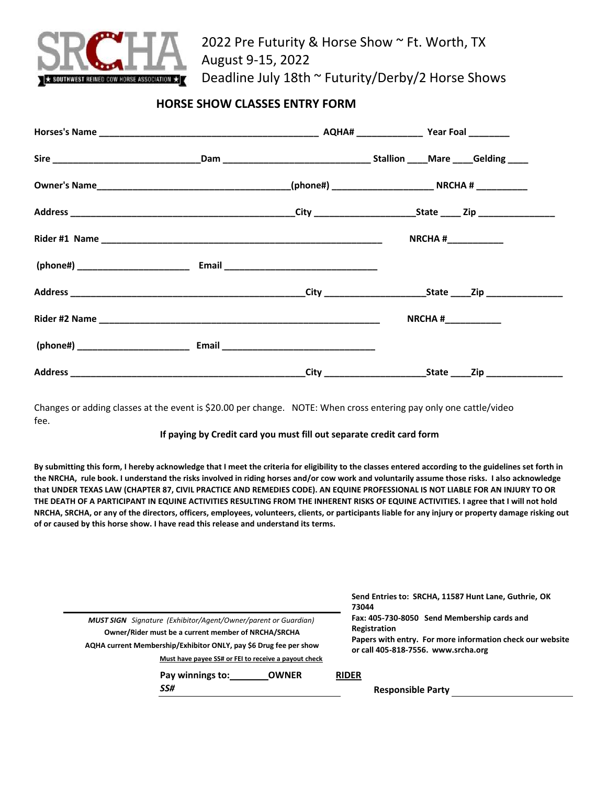

2022 Pre Futurity & Horse Show ~ Ft. Worth, TX August 9-15, 2022 Deadline July 18th ~ Futurity/Derby/2 Horse Shows

## **HORSE SHOW CLASSES ENTRY FORM**

|  | NRCHA# $\frac{1}{2}$ |  |  |
|--|----------------------|--|--|
|  |                      |  |  |
|  |                      |  |  |
|  | $NRCHA$ #            |  |  |
|  |                      |  |  |
|  |                      |  |  |

Changes or adding classes at the event is \$20.00 per change. NOTE: When cross entering pay only one cattle/video fee.

## **If paying by Credit card you must fill out separate credit card form**

**By submitting this form, I hereby acknowledge that I meet the criteria for eligibility to the classes entered according to the guidelines set forth in the NRCHA, rule book. I understand the risks involved in riding horses and/or cow work and voluntarily assume those risks. I also acknowledge that UNDER TEXAS LAW (CHAPTER 87, CIVIL PRACTICE AND REMEDIES CODE). AN EQUINE PROFESSIONAL IS NOT LIABLE FOR AN INJURY TO OR THE DEATH OF A PARTICIPANT IN EQUINE ACTIVITIES RESULTING FROM THE INHERENT RISKS OF EQUINE ACTIVITIES. I agree that I will not hold NRCHA, SRCHA, or any of the directors, officers, employees, volunteers, clients, or participants liable for any injury or property damage risking out of or caused by this horse show. I have read this release and understand its terms.** 

|                                                                       | Send Entries to: SRCHA, 11587 Hunt Lane, Guthrie, OK<br>73044                                    |  |  |  |  |
|-----------------------------------------------------------------------|--------------------------------------------------------------------------------------------------|--|--|--|--|
| <b>MUST SIGN</b> Signature (Exhibitor/Agent/Owner/parent or Guardian) | Fax: 405-730-8050 Send Membership cards and                                                      |  |  |  |  |
| Owner/Rider must be a current member of NRCHA/SRCHA                   | Registration                                                                                     |  |  |  |  |
| AQHA current Membership/Exhibitor ONLY, pay \$6 Drug fee per show     | Papers with entry. For more information check our website<br>or call 405-818-7556. www.srcha.org |  |  |  |  |
| Must have payee SS# or FEI to receive a payout check                  |                                                                                                  |  |  |  |  |
| Pay winnings to:<br><b>OWNER</b>                                      | <b>RIDER</b>                                                                                     |  |  |  |  |
| SS#                                                                   | <b>Responsible Party</b>                                                                         |  |  |  |  |